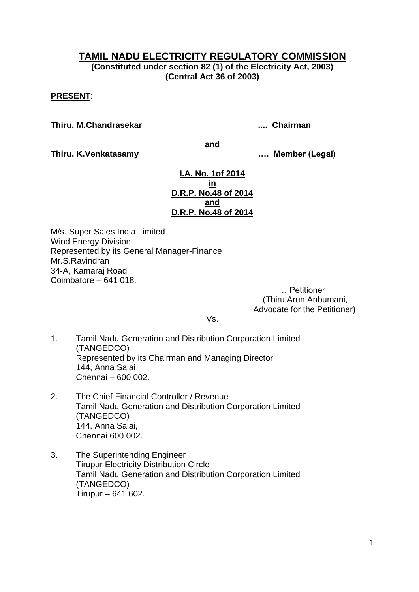# **TAMIL NADU ELECTRICITY REGULATORY COMMISSION (Constituted under section 82 (1) of the Electricity Act, 2003) (Central Act 36 of 2003)**

# **PRESENT**:

**Thiru. M.Chandrasekar .... Chairman**

**and**

**Thiru. K.Venkatasamy …. Member (Legal)**

**I.A. No. 1of 2014 in D.R.P. No.48 of 2014 and D.R.P. No.48 of 2014**

M/s. Super Sales India Limited Wind Energy Division Represented by its General Manager-Finance Mr.S.Ravindran 34-A, Kamaraj Road Coimbatore – 641 018.

> … Petitioner (Thiru.Arun Anbumani, Advocate for the Petitioner)

Vs.

- 1. Tamil Nadu Generation and Distribution Corporation Limited (TANGEDCO) Represented by its Chairman and Managing Director 144, Anna Salai Chennai – 600 002.
- 2. The Chief Financial Controller / Revenue Tamil Nadu Generation and Distribution Corporation Limited (TANGEDCO) 144, Anna Salai, Chennai 600 002.
- 3. The Superintending Engineer Tirupur Electricity Distribution Circle Tamil Nadu Generation and Distribution Corporation Limited (TANGEDCO) Tirupur – 641 602.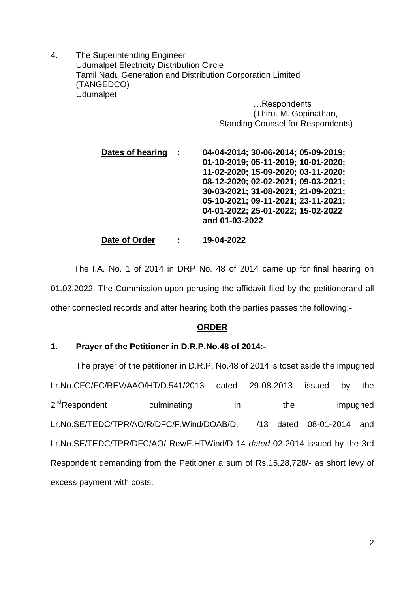4. The Superintending Engineer Udumalpet Electricity Distribution Circle Tamil Nadu Generation and Distribution Corporation Limited (TANGEDCO) **Udumalpet** 

> …Respondents (Thiru. M. Gopinathan, Standing Counsel for Respondents)

| Dates of hearing | ÷ | 04-04-2014; 30-06-2014; 05-09-2019; |
|------------------|---|-------------------------------------|
|                  |   | 01-10-2019; 05-11-2019; 10-01-2020; |
|                  |   | 11-02-2020; 15-09-2020; 03-11-2020; |
|                  |   | 08-12-2020; 02-02-2021; 09-03-2021; |
|                  |   | 30-03-2021; 31-08-2021; 21-09-2021; |
|                  |   | 05-10-2021; 09-11-2021; 23-11-2021; |
|                  |   | 04-01-2022; 25-01-2022; 15-02-2022  |
|                  |   | and 01-03-2022                      |
|                  |   |                                     |

**Date of Order : 19-04-2022**

 The I.A. No. 1 of 2014 in DRP No. 48 of 2014 came up for final hearing on 01.03.2022. The Commission upon perusing the affidavit filed by the petitionerand all other connected records and after hearing both the parties passes the following:-

# **ORDER**

# **1. Prayer of the Petitioner in D.R.P.No.48 of 2014:-**

The prayer of the petitioner in D.R.P. No.48 of 2014 is toset aside the impugned Lr.No.CFC/FC/REV/AAO/HT/D.541/2013 dated 29-08-2013 issued by the 2<sup>nd</sup>Respondent culminating in the impugned Lr.No.SE/TEDC/TPR/AO/R/DFC/F.Wind/DOAB/D. /13 dated 08-01-2014 and Lr.No.SE/TEDC/TPR/DFC/AO/ Rev/F.HTWind/D 14 *dated* 02-2014 issued by the 3rd Respondent demanding from the Petitioner a sum of Rs.15,28,728/- as short levy of excess payment with costs.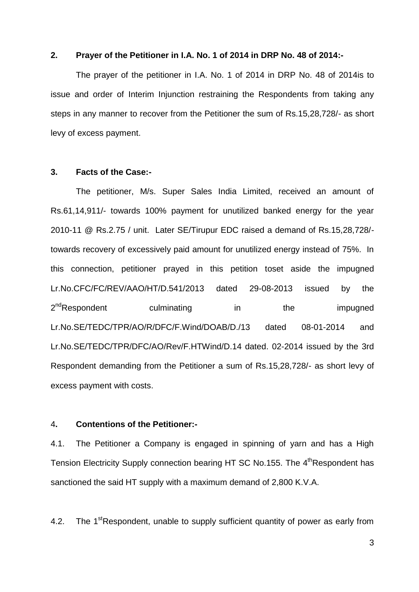#### **2. Prayer of the Petitioner in I.A. No. 1 of 2014 in DRP No. 48 of 2014:-**

The prayer of the petitioner in I.A. No. 1 of 2014 in DRP No. 48 of 2014is to issue and order of Interim Injunction restraining the Respondents from taking any steps in any manner to recover from the Petitioner the sum of Rs.15,28,728/- as short levy of excess payment.

#### **3. Facts of the Case:-**

The petitioner, M/s. Super Sales India Limited, received an amount of Rs.61,14,911/- towards 100% payment for unutilized banked energy for the year 2010-11 @ Rs.2.75 / unit. Later SE/Tirupur EDC raised a demand of Rs.15,28,728/ towards recovery of excessively paid amount for unutilized energy instead of 75%. In this connection, petitioner prayed in this petition toset aside the impugned Lr.No.CFC/FC/REV/AAO/HT/D.541/2013 dated 29-08-2013 issued by the 2<sup>nd</sup>Respondent culminating in the impugned Lr.No.SE/TEDC/TPR/AO/R/DFC/F.Wind/DOAB/D./13 dated 08-01-2014 and Lr.No.SE/TEDC/TPR/DFC/AO/Rev/F.HTWind/D.14 dated. 02-2014 issued by the 3rd Respondent demanding from the Petitioner a sum of Rs.15,28,728/- as short levy of excess payment with costs.

#### 4**. Contentions of the Petitioner:-**

4.1. The Petitioner a Company is engaged in spinning of yarn and has a High Tension Electricity Supply connection bearing HT SC No.155. The 4<sup>th</sup>Respondent has sanctioned the said HT supply with a maximum demand of 2,800 K.V.A.

4.2. The 1<sup>st</sup>Respondent, unable to supply sufficient quantity of power as early from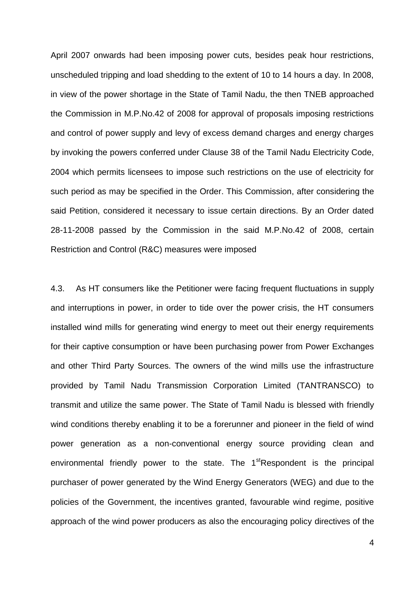April 2007 onwards had been imposing power cuts, besides peak hour restrictions, unscheduled tripping and load shedding to the extent of 10 to 14 hours a day. In 2008, in view of the power shortage in the State of Tamil Nadu, the then TNEB approached the Commission in M.P.No.42 of 2008 for approval of proposals imposing restrictions and control of power supply and levy of excess demand charges and energy charges by invoking the powers conferred under Clause 38 of the Tamil Nadu Electricity Code, 2004 which permits licensees to impose such restrictions on the use of electricity for such period as may be specified in the Order. This Commission, after considering the said Petition, considered it necessary to issue certain directions. By an Order dated 28-11-2008 passed by the Commission in the said M.P.No.42 of 2008, certain Restriction and Control (R&C) measures were imposed

4.3. As HT consumers like the Petitioner were facing frequent fluctuations in supply and interruptions in power, in order to tide over the power crisis, the HT consumers installed wind mills for generating wind energy to meet out their energy requirements for their captive consumption or have been purchasing power from Power Exchanges and other Third Party Sources. The owners of the wind mills use the infrastructure provided by Tamil Nadu Transmission Corporation Limited (TANTRANSCO) to transmit and utilize the same power. The State of Tamil Nadu is blessed with friendly wind conditions thereby enabling it to be a forerunner and pioneer in the field of wind power generation as a non-conventional energy source providing clean and environmental friendly power to the state. The  $1<sup>st</sup>$ Respondent is the principal purchaser of power generated by the Wind Energy Generators (WEG) and due to the policies of the Government, the incentives granted, favourable wind regime, positive approach of the wind power producers as also the encouraging policy directives of the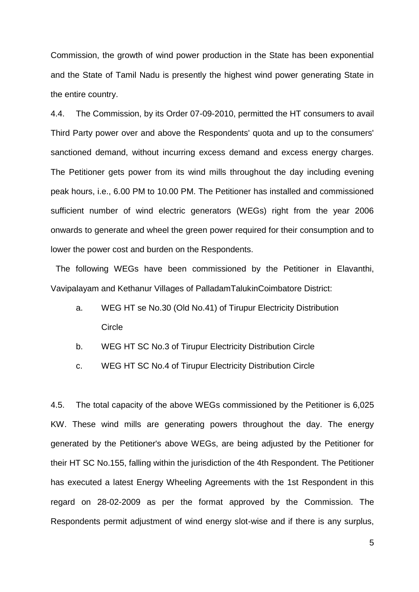Commission, the growth of wind power production in the State has been exponential and the State of Tamil Nadu is presently the highest wind power generating State in the entire country.

4.4. The Commission, by its Order 07-09-2010, permitted the HT consumers to avail Third Party power over and above the Respondents' quota and up to the consumers' sanctioned demand, without incurring excess demand and excess energy charges. The Petitioner gets power from its wind mills throughout the day including evening peak hours, i.e., 6.00 PM to 10.00 PM. The Petitioner has installed and commissioned sufficient number of wind electric generators (WEGs) right from the year 2006 onwards to generate and wheel the green power required for their consumption and to lower the power cost and burden on the Respondents.

The following WEGs have been commissioned by the Petitioner in Elavanthi, Vavipalayam and Kethanur Villages of PalladamTalukinCoimbatore District:

- a. WEG HT se No.30 (Old No.41) of Tirupur Electricity Distribution **Circle**
- b. WEG HT SC No.3 of Tirupur Electricity Distribution Circle
- c. WEG HT SC No.4 of Tirupur Electricity Distribution Circle

4.5. The total capacity of the above WEGs commissioned by the Petitioner is 6,025 KW. These wind mills are generating powers throughout the day. The energy generated by the Petitioner's above WEGs, are being adjusted by the Petitioner for their HT SC No.155, falling within the jurisdiction of the 4th Respondent. The Petitioner has executed a latest Energy Wheeling Agreements with the 1st Respondent in this regard on 28-02-2009 as per the format approved by the Commission. The Respondents permit adjustment of wind energy slot-wise and if there is any surplus,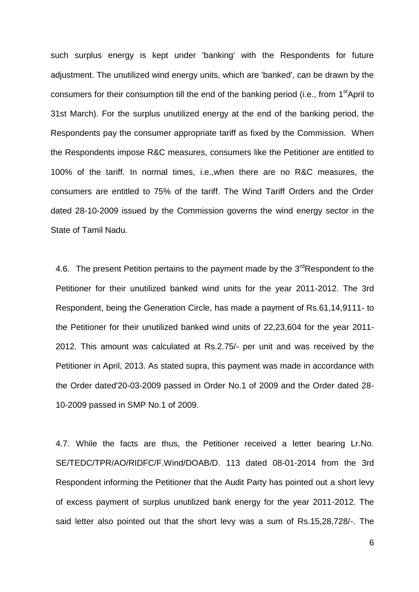such surplus energy is kept under 'banking' with the Respondents for future adjustment. The unutilized wind energy units, which are 'banked', can be drawn by the consumers for their consumption till the end of the banking period (i.e., from 1<sup>st</sup>April to 31st March). For the surplus unutilized energy at the end of the banking period, the Respondents pay the consumer appropriate tariff as fixed by the Commission. When the Respondents impose R&C measures, consumers like the Petitioner are entitled to 100% of the tariff. In normal times, i.e.,when there are no R&C measures, the consumers are entitled to 75% of the tariff. The Wind Tariff Orders and the Order dated 28-10-2009 issued by the Commission governs the wind energy sector in the State of Tamil Nadu.

4.6. The present Petition pertains to the payment made by the  $3<sup>rd</sup>$ Respondent to the Petitioner for their unutilized banked wind units for the year 2011-2012. The 3rd Respondent, being the Generation Circle, has made a payment of Rs.61,14,9111- to the Petitioner for their unutilized banked wind units of 22,23,604 for the year 2011- 2012. This amount was calculated at Rs.2.75/- per unit and was received by the Petitioner in April, 2013. As stated supra, this payment was made in accordance with the Order dated'20-03-2009 passed in Order No.1 of 2009 and the Order dated 28- 10-2009 passed in SMP No.1 of 2009.

4.7. While the facts are thus, the Petitioner received a letter bearing Lr.No. SE/TEDC/TPR/AO/RIDFC/F.Wind/DOAB/D. 113 dated 08-01-2014 from the 3rd Respondent informing the Petitioner that the Audit Party has pointed out a short levy of excess payment of surplus unutilized bank energy for the year 2011-2012. The said letter also pointed out that the short levy was a sum of Rs.15,28,728/-. The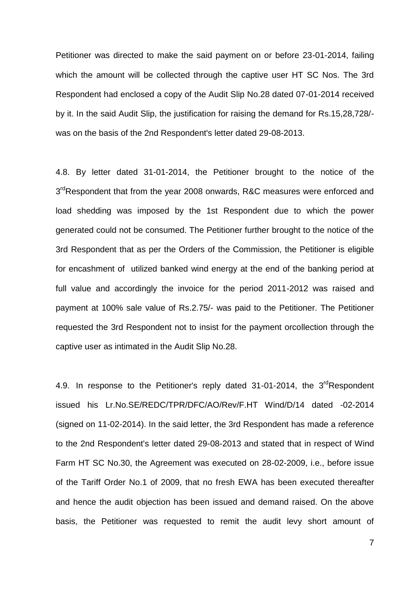Petitioner was directed to make the said payment on or before 23-01-2014, failing which the amount will be collected through the captive user HT SC Nos. The 3rd Respondent had enclosed a copy of the Audit Slip No.28 dated 07-01-2014 received by it. In the said Audit Slip, the justification for raising the demand for Rs.15,28,728/ was on the basis of the 2nd Respondent's letter dated 29-08-2013.

4.8. By letter dated 31-01-2014, the Petitioner brought to the notice of the 3<sup>rd</sup>Respondent that from the year 2008 onwards, R&C measures were enforced and load shedding was imposed by the 1st Respondent due to which the power generated could not be consumed. The Petitioner further brought to the notice of the 3rd Respondent that as per the Orders of the Commission, the Petitioner is eligible for encashment of utilized banked wind energy at the end of the banking period at full value and accordingly the invoice for the period 2011-2012 was raised and payment at 100% sale value of Rs.2.75/- was paid to the Petitioner. The Petitioner requested the 3rd Respondent not to insist for the payment orcollection through the captive user as intimated in the Audit Slip No.28.

4.9. In response to the Petitioner's reply dated  $31-01-2014$ , the  $3^{rd}$ Respondent issued his Lr.No.SE/REDC/TPR/DFC/AO/Rev/F.HT Wind/D/14 dated -02-2014 (signed on 11-02-2014). In the said letter, the 3rd Respondent has made a reference to the 2nd Respondent's letter dated 29-08-2013 and stated that in respect of Wind Farm HT SC No.30, the Agreement was executed on 28-02-2009, i.e., before issue of the Tariff Order No.1 of 2009, that no fresh EWA has been executed thereafter and hence the audit objection has been issued and demand raised. On the above basis, the Petitioner was requested to remit the audit levy short amount of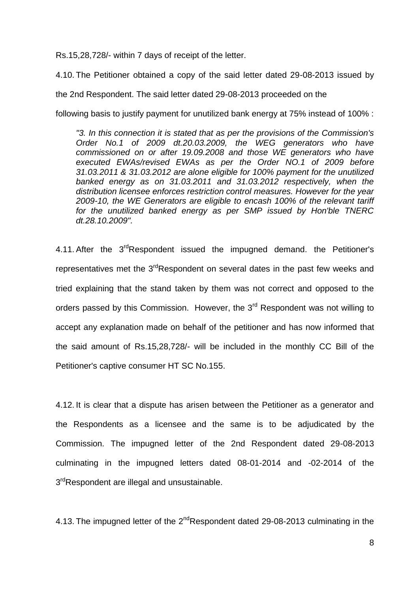Rs.15,28,728/- within 7 days of receipt of the letter.

4.10. The Petitioner obtained a copy of the said letter dated 29-08-2013 issued by the 2nd Respondent. The said letter dated 29-08-2013 proceeded on the

following basis to justify payment for unutilized bank energy at 75% instead of 100% :

*"3. In this connection it is stated that as per the provisions of the Commission's Order No.1 of 2009 dt.20.03.2009, the WEG generators who have commissioned on or after 19.09.2008 and those WE generators who have executed EWAs/revised EWAs as per the Order NO.1 of 2009 before 31.03.2011 & 31.03.2012 are alone eligible for 100% payment for the unutilized banked energy as on 31.03.2011 and 31.03.2012 respectively, when the distribution licensee enforces restriction control measures. However for the year 2009-10, the WE Generators are eligible to encash 100% of the relevant tariff for the unutilized banked energy as per SMP issued by Hon'ble TNERC dt.28.10.2009".*

4.11. After the 3<sup>rd</sup>Respondent issued the impugned demand. the Petitioner's representatives met the  $3^{rd}$ Respondent on several dates in the past few weeks and tried explaining that the stand taken by them was not correct and opposed to the orders passed by this Commission. However, the 3<sup>rd</sup> Respondent was not willing to accept any explanation made on behalf of the petitioner and has now informed that the said amount of Rs.15,28,728/- will be included in the monthly CC Bill of the Petitioner's captive consumer HT SC No.155.

4.12. It is clear that a dispute has arisen between the Petitioner as a generator and the Respondents as a licensee and the same is to be adjudicated by the Commission. The impugned letter of the 2nd Respondent dated 29-08-2013 culminating in the impugned letters dated 08-01-2014 and -02-2014 of the 3<sup>rd</sup>Respondent are illegal and unsustainable.

4.13. The impugned letter of the 2<sup>nd</sup>Respondent dated 29-08-2013 culminating in the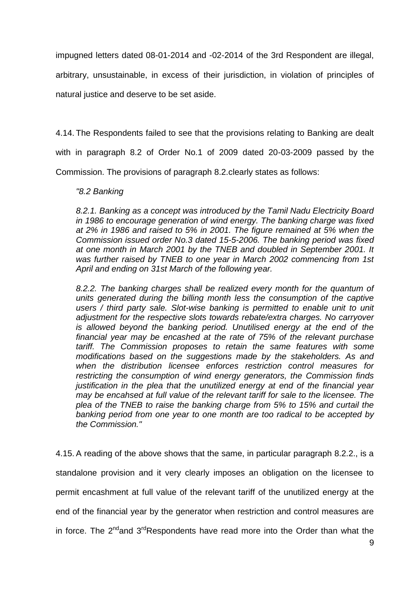impugned letters dated 08-01-2014 and -02-2014 of the 3rd Respondent are illegal,

arbitrary, unsustainable, in excess of their jurisdiction, in violation of principles of

natural justice and deserve to be set aside.

4.14. The Respondents failed to see that the provisions relating to Banking are dealt

with in paragraph 8.2 of Order No.1 of 2009 dated 20-03-2009 passed by the

Commission. The provisions of paragraph 8.2.clearly states as follows:

## *"8.2 Banking*

*8.2.1. Banking as a concept was introduced by the Tamil Nadu Electricity Board in 1986 to encourage generation of wind energy. The banking charge was fixed at 2% in 1986 and raised to 5% in 2001. The figure remained at 5% when the Commission issued order No.3 dated 15-5-2006. The banking period was fixed at one month in March 2001 by the TNEB and doubled in September 2001. It was further raised by TNEB to one year in March 2002 commencing from 1st April and ending on 31st March of the following year.* 

*8.2.2. The banking charges shall be realized every month for the quantum of units generated during the billing month less the consumption of the captive users / third party sale. Slot-wise banking is permitted to enable unit to unit adjustment for the respective slots towards rebate/extra charges. No carryover*  is allowed beyond the banking period. Unutilised energy at the end of the *financial year may be encashed at the rate of 75% of the relevant purchase tariff. The Commission proposes to retain the same features with some modifications based on the suggestions made by the stakeholders. As and when the distribution licensee enforces restriction control measures for restricting the consumption of wind energy generators, the Commission finds justification in the plea that the unutilized energy at end of the financial year may be encahsed at full value of the relevant tariff for sale to the licensee. The plea of the TNEB to raise the banking charge from 5% to 15% and curtail the banking period from one year to one month are too radical to be accepted by the Commission."* 

4.15. A reading of the above shows that the same, in particular paragraph 8.2.2., is a standalone provision and it very clearly imposes an obligation on the licensee to permit encashment at full value of the relevant tariff of the unutilized energy at the end of the financial year by the generator when restriction and control measures are in force. The  $2^{nd}$  and  $3^{rd}$ Respondents have read more into the Order than what the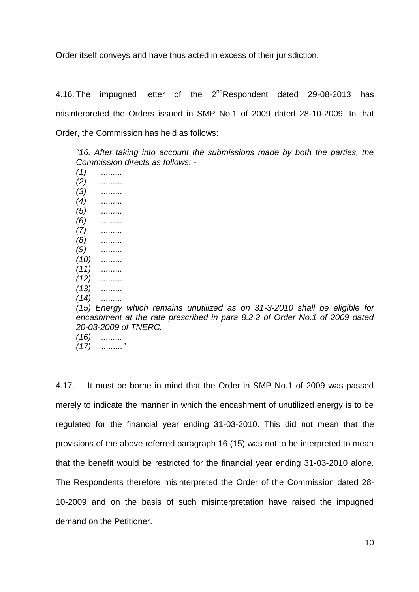Order itself conveys and have thus acted in excess of their jurisdiction.

4.16. The impugned letter of the 2<sup>nd</sup>Respondent dated 29-08-2013 has misinterpreted the Orders issued in SMP No.1 of 2009 dated 28-10-2009. In that Order, the Commission has held as follows:

*"16. After taking into account the submissions made by both the parties, the Commission directs as follows: -*

*(1) ......... (2) ......... (3) ......... (4) ......... (5) ......... (6) ......... (7) ......... (8) ......... (9) ......... (10) ......... (11) ......... (12) ......... (13) ......... (14) ......... (15) Energy which remains unutilized as on 31-3-2010 shall be eligible for encashment at the rate prescribed in para 8.2.2 of Order No.1 of 2009 dated 20-03-2009 of TNERC. (16) ......... (17) ........."* 

4.17. It must be borne in mind that the Order in SMP No.1 of 2009 was passed merely to indicate the manner in which the encashment of unutilized energy is to be regulated for the financial year ending 31-03-2010. This did not mean that the provisions of the above referred paragraph 16 (15) was not to be interpreted to mean that the benefit would be restricted for the financial year ending 31-03-2010 alone. The Respondents therefore misinterpreted the Order of the Commission dated 28- 10-2009 and on the basis of such misinterpretation have raised the impugned demand on the Petitioner.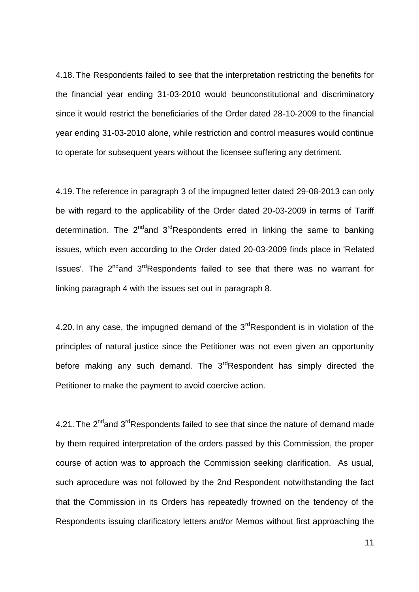4.18. The Respondents failed to see that the interpretation restricting the benefits for the financial year ending 31-03-2010 would beunconstitutional and discriminatory since it would restrict the beneficiaries of the Order dated 28-10-2009 to the financial year ending 31-03-2010 alone, while restriction and control measures would continue to operate for subsequent years without the licensee suffering any detriment.

4.19. The reference in paragraph 3 of the impugned letter dated 29-08-2013 can only be with regard to the applicability of the Order dated 20-03-2009 in terms of Tariff determination. The  $2^{nd}$  and  $3^{rd}$ Respondents erred in linking the same to banking issues, which even according to the Order dated 20-03-2009 finds place in 'Related Issues'. The  $2^{nd}$  and  $3^{rd}$ Respondents failed to see that there was no warrant for linking paragraph 4 with the issues set out in paragraph 8.

4.20. In any case, the impugned demand of the  $3<sup>rd</sup>$ Respondent is in violation of the principles of natural justice since the Petitioner was not even given an opportunity before making any such demand. The  $3<sup>rd</sup>$ Respondent has simply directed the Petitioner to make the payment to avoid coercive action.

4.21. The  $2^{nd}$  and  $3^{rd}$ Respondents failed to see that since the nature of demand made by them required interpretation of the orders passed by this Commission, the proper course of action was to approach the Commission seeking clarification. As usual, such aprocedure was not followed by the 2nd Respondent notwithstanding the fact that the Commission in its Orders has repeatedly frowned on the tendency of the Respondents issuing clarificatory letters and/or Memos without first approaching the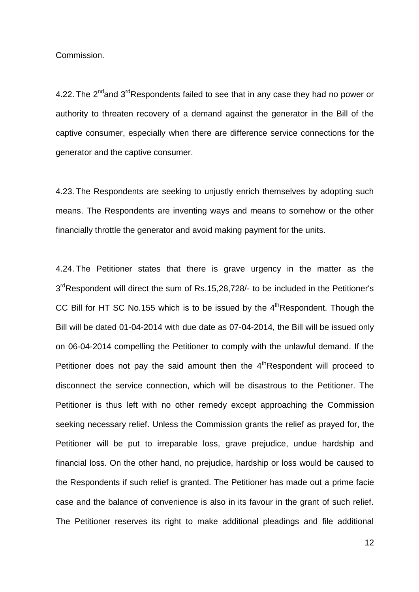Commission.

4.22. The  $2^{nd}$  and  $3^{rd}$ Respondents failed to see that in any case they had no power or authority to threaten recovery of a demand against the generator in the Bill of the captive consumer, especially when there are difference service connections for the generator and the captive consumer.

4.23. The Respondents are seeking to unjustly enrich themselves by adopting such means. The Respondents are inventing ways and means to somehow or the other financially throttle the generator and avoid making payment for the units.

4.24. The Petitioner states that there is grave urgency in the matter as the 3<sup>rd</sup>Respondent will direct the sum of Rs.15,28,728/- to be included in the Petitioner's CC Bill for HT SC No.155 which is to be issued by the  $4<sup>th</sup>$ Respondent. Though the Bill will be dated 01-04-2014 with due date as 07-04-2014, the Bill will be issued only on 06-04-2014 compelling the Petitioner to comply with the unlawful demand. If the Petitioner does not pay the said amount then the  $4<sup>th</sup>$ Respondent will proceed to disconnect the service connection, which will be disastrous to the Petitioner. The Petitioner is thus left with no other remedy except approaching the Commission seeking necessary relief. Unless the Commission grants the relief as prayed for, the Petitioner will be put to irreparable loss, grave prejudice, undue hardship and financial loss. On the other hand, no prejudice, hardship or loss would be caused to the Respondents if such relief is granted. The Petitioner has made out a prime facie case and the balance of convenience is also in its favour in the grant of such relief. The Petitioner reserves its right to make additional pleadings and file additional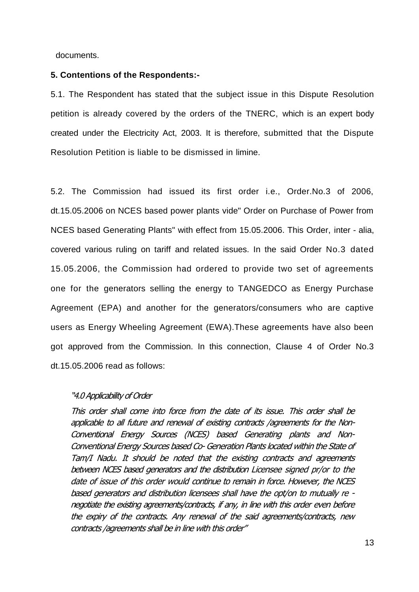documents.

### **5. Contentions of the Respondents:-**

5.1. The Respondent has stated that the subject issue in this Dispute Resolution petition is already covered by the orders of the TNERC, which is an expert body created under the Electricity Act, 2003. It is therefore, submitted that the Dispute Resolution Petition is liable to be dismissed in limine.

5.2. The Commission had issued its first order i.e., Order.No.3 of 2006, dt.15.05.2006 on NCES based power plants vide" Order on Purchase of Power from NCES based Generating Plants" with effect from 15.05.2006. This Order, inter - alia, covered various ruling on tariff and related issues. In the said Order No.3 dated 15.05.2006, the Commission had ordered to provide two set of agreements one for the generators selling the energy to TANGEDCO as Energy Purchase Agreement (EPA) and another for the generators/consumers who are captive users as Energy Wheeling Agreement (EWA).These agreements have also been got approved from the Commission. In this connection, Clause 4 of Order No.3 dt.15.05.2006 read as follows:

### "4.0 Applicability of Order

This order shall come into force from the date of its issue. This order shall be applicable to all future and renewal of existing contracts /agreements for the Non-Conventional Energy Sources (NCES) based Generating plants and Non-Conventional Energy Sources based Co- Generation Plants located within the State of Tam/I Nadu. It should be noted that the existing contracts and agreements between NCES based generators and the distribution Licensee signed pr/or to the date of issue of this order would continue to remain in force. However, the NCES based generators and distribution licensees shall have the opt/on to mutually re negotiate the existing agreements/contracts, if any, in line with this order even before the expiry of the contracts. Any renewal of the said agreements/contracts, new contracts /agreements shall be in line with this order"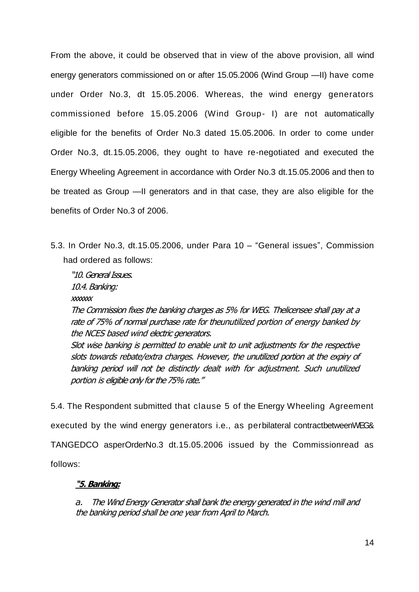From the above, it could be observed that in view of the above provision, all wind energy generators commissioned on or after 15.05.2006 (Wind Group —II) have come under Order No.3, dt 15.05.2006. Whereas, the wind energy generators commissioned before 15.05.2006 (Wind Group- I) are not automatically eligible for the benefits of Order No.3 dated 15.05.2006. In order to come under Order No.3, dt.15.05.2006, they ought to have re-negotiated and executed the Energy Wheeling Agreement in accordance with Order No.3 dt.15.05.2006 and then to be treated as Group —II generators and in that case, they are also eligible for the benefits of Order No.3 of 2006.

- 5.3. In Order No.3, dt.15.05.2006, under Para  $10 -$  "General issues", Commission had ordered as follows:
	- "10. General Issues. 10.4. Banking: xxxxxxx The Commission fixes the banking charges as 5% for WEG. Thelicensee shall pay at a rate of 75% of normal purchase rate for theunutilized portion of energy banked by the NCES based wind electric generators. Slot wise banking is permitted to enable unit to unit adjustments for the respective

slots towards rebate/extra charges. However, the unutilized portion at the expiry of banking period will not be distinctly dealt with for adjustment. Such unutilized portion is eligible only for the 75% rate."

5.4. The Respondent submitted that clause 5 of the Energy Wheeling Agreement executed by the wind energy generators i.e., as perbilateral contractbetweenWEG& TANGEDCO asperOrderNo.3 dt.15.05.2006 issued by the Commissionread as follows:

# **"5. Banking:**

*a.* The Wind Energy Generator shall bank the energy generated in the wind mill and the banking period shall be one year from April to March.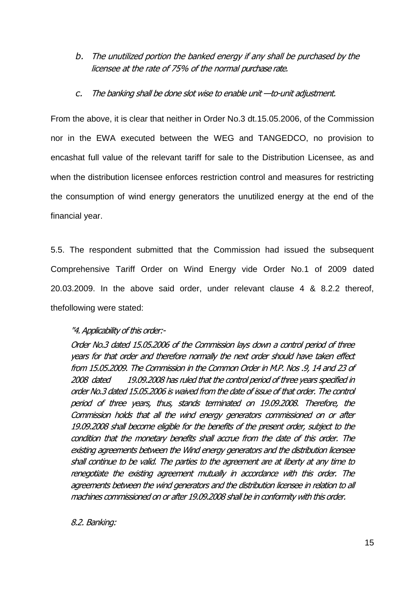# *b.* The unutilized portion the banked energy if any shall be purchased by the licensee at the rate of 75% of the normal purchase rate.

*c.* The banking shall be done slot wise to enable unit —to-unit adjustment.

From the above, it is clear that neither in Order No.3 dt.15.05.2006, of the Commission nor in the EWA executed between the WEG and TANGEDCO, no provision to encashat full value of the relevant tariff for sale to the Distribution Licensee, as and when the distribution licensee enforces restriction control and measures for restricting the consumption of wind energy generators the unutilized energy at the end of the financial year.

5.5. The respondent submitted that the Commission had issued the subsequent Comprehensive Tariff Order on Wind Energy vide Order No.1 of 2009 dated 20.03.2009. In the above said order, under relevant clause 4 & 8.2.2 thereof, thefollowing were stated:

# "4. Applicability of this order:-

Order No.3 dated 15.05.2006 of the Commission lays down a control period of three years for that order and therefore normally the next order should have taken effect from 15.05.2009. The Commission in the Common Order in M.P. Nos .9, 14 and 23 of 2008 dated 19.09.2008 has ruled that the control period of three years specified in order No.3 dated 15.05.2006 is waived from the date of issue of that order. The control period of three years, thus, stands terminated on 19.09.2008. Therefore, the Commission holds that all the wind energy generators commissioned on or after 19.09.2008 shall become eligible for the benefits of the present order, subject to the condition that the monetary benefits shall accrue from the date of this order. The existing agreements between the Wind energy generators and the distribution licensee shall continue to be valid. The parties to the agreement are at liberty at any time to renegotiate the existing agreement mutually in accordance with this order. The agreements between the wind generators and the distribution licensee in relation to all machines commissioned on or after 19.09.2008 shall be in conformity with this order.

8.2. Banking: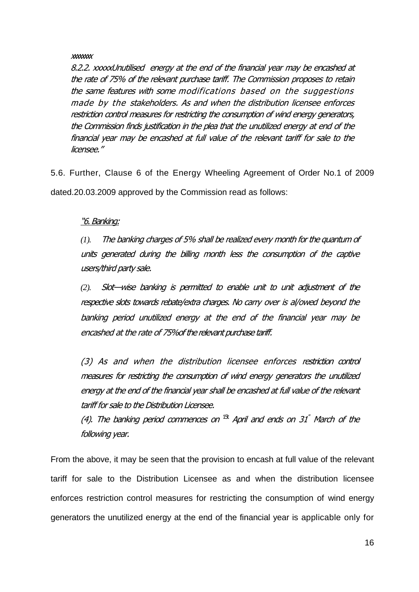# xxxxxxxx

8.2.2. xxxxxUnutilised energy at the end of the financial year may be encashed at the rate of 75% of the relevant purchase tariff. The Commission proposes to retain the same features with some modifications based on the suggestions made by the stakeholders. As and when the distribution licensee enforces restriction control measures for restricting the consumption of wind energy generators, the Commission finds justification in the plea that the unutilized energy at end of the financial year may be encashed at full value of the relevant tariff for sale to the licensee."

5.6. Further, Clause 6 of the Energy Wheeling Agreement of Order No.1 of 2009 dated.20.03.2009 approved by the Commission read as follows:

# "6. Banking:

*(1).* The banking charges of 5% shall be realized every month for the quantum of units generated during the billing month less the consumption of the captive users/third party sale.

*(2).* Slot—wise banking is permitted to enable unit to unit adjustment of the respective slots towards rebate/extra charges. No carry over is al/owed beyond the banking period unutilized energy at the end of the financial year may be encashed at the rate of 75%of the relevant purchase tariff.

(3) As and when the distribution licensee enforces restriction control measures for restricting the consumption of wind energy generators the unutilized energy at the end of the financial year shall be encashed at full value of the relevant tariff for sale to the Distribution Licensee.

(4). The banking period commences on  $^{15}$  April and ends on 31" March of the following year.

From the above, it may be seen that the provision to encash at full value of the relevant tariff for sale to the Distribution Licensee as and when the distribution licensee enforces restriction control measures for restricting the consumption of wind energy generators the unutilized energy at the end of the financial year is applicable only for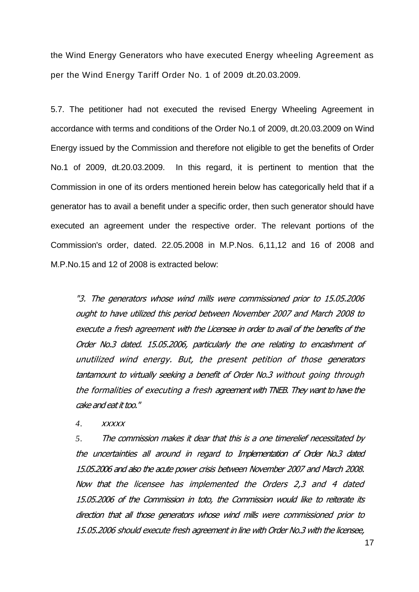the Wind Energy Generators who have executed Energy wheeling Agreement as per the Wind Energy Tariff Order No. 1 of 2009 dt.20.03.2009.

5.7. The petitioner had not executed the revised Energy Wheeling Agreement in accordance with terms and conditions of the Order No.1 of 2009, dt.20.03.2009 on Wind Energy issued by the Commission and therefore not eligible to get the benefits of Order No.1 of 2009, dt.20.03.2009. In this regard, it is pertinent to mention that the Commission in one of its orders mentioned herein below has categorically held that if a generator has to avail a benefit under a specific order, then such generator should have executed an agreement under the respective order. The relevant portions of the Commission's order, dated. 22.05.2008 in M.P.Nos. 6,11,12 and 16 of 2008 and M.P.No.15 and 12 of 2008 is extracted below:

"3. The generators whose wind mills were commissioned prior to 15.05.2006 ought to have utilized this period between November 2007 and March 2008 to execute a fresh agreement with the Licensee in order to avail of the benefits of the Order No.3 dated. 15.05.2006, particularly the one relating to encashment of unutilized wind energy. But, the present petition of those generators tantamount to virtually seeking a benefit of Order No.3 without going through the formalities of executing a fresh agreement with TNEB. They want to have the cake and eat it too."

*4.* xxxxx

*5.* The commission makes it dear that this is a one timerelief necessitated by the uncertainties all around in regard to Implementation of Order No.3 dated 15.05.2006 and also the acute power crisis between November 2007 and March 2008. Now that the licensee has implemented the Orders 2,3 and 4 dated 15.05.2006 of the Commission in toto, the Commission would like to reiterate its direction that all those generators whose wind mills were commissioned prior to 15.05.2006 should execute fresh agreement in line with Order No.3 with the licensee,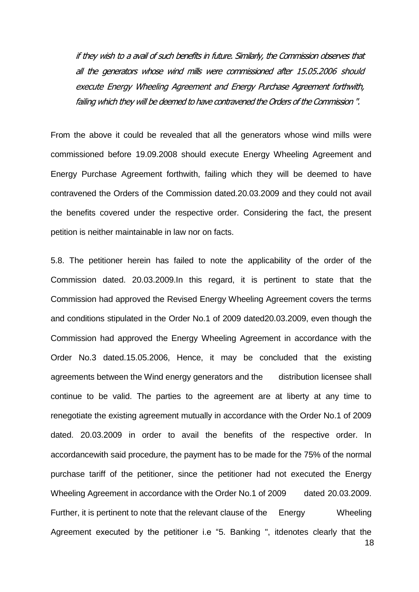if they wish to a avail of such benefits in future. Similarly, the Commission observes that all the generators whose wind mills were commissioned after 15.05.2006 should execute Energy Wheeling Agreement and Energy Purchase Agreement forthwith, failing which they will be deemed to have contravened the Orders of the Commission ".

From the above it could be revealed that all the generators whose wind mills were commissioned before 19.09.2008 should execute Energy Wheeling Agreement and Energy Purchase Agreement forthwith, failing which they will be deemed to have contravened the Orders of the Commission dated.20.03.2009 and they could not avail the benefits covered under the respective order. Considering the fact, the present petition is neither maintainable in law nor on facts.

18 5.8. The petitioner herein has failed to note the applicability of the order of the Commission dated. 20.03.2009.In this regard, it is pertinent to state that the Commission had approved the Revised Energy Wheeling Agreement covers the terms and conditions stipulated in the Order No.1 of 2009 dated20.03.2009, even though the Commission had approved the Energy Wheeling Agreement in accordance with the Order No.3 dated.15.05.2006, Hence, it may be concluded that the existing agreements between the Wind energy generators and the distribution licensee shall continue to be valid. The parties to the agreement are at liberty at any time to renegotiate the existing agreement mutually in accordance with the Order No.1 of 2009 dated. 20.03.2009 in order to avail the benefits of the respective order. In accordancewith said procedure, the payment has to be made for the 75% of the normal purchase tariff of the petitioner, since the petitioner had not executed the Energy Wheeling Agreement in accordance with the Order No.1 of 2009 dated 20.03.2009. Further, it is pertinent to note that the relevant clause of the Energy Wheeling Agreement executed by the petitioner i.e "5. Banking ", itdenotes clearly that the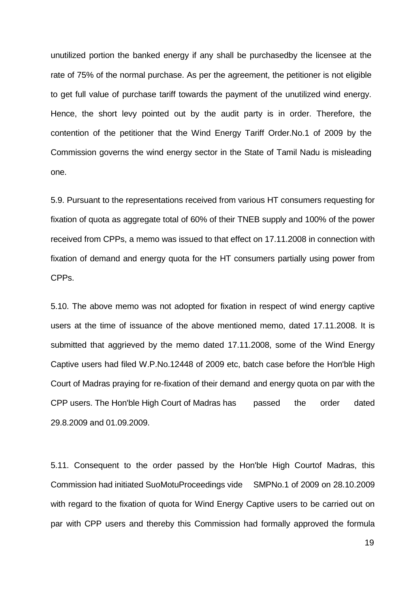unutilized portion the banked energy if any shall be purchasedby the licensee at the rate of 75% of the normal purchase. As per the agreement, the petitioner is not eligible to get full value of purchase tariff towards the payment of the unutilized wind energy. Hence, the short levy pointed out by the audit party is in order. Therefore, the contention of the petitioner that the Wind Energy Tariff Order.No.1 of 2009 by the Commission governs the wind energy sector in the State of Tamil Nadu is misleading one.

5.9. Pursuant to the representations received from various HT consumers requesting for fixation of quota as aggregate total of 60% of their TNEB supply and 100% of the power received from CPPs, a memo was issued to that effect on 17.11.2008 in connection with fixation of demand and energy quota for the HT consumers partially using power from CPPs.

5.10. The above memo was not adopted for fixation in respect of wind energy captive users at the time of issuance of the above mentioned memo, dated 17.11.2008. It is submitted that aggrieved by the memo dated 17.11.2008, some of the Wind Energy Captive users had filed W.P.No.12448 of 2009 etc, batch case before the Hon'ble High Court of Madras praying for re-fixation of their demand and energy quota on par with the CPP users. The Hon'ble High Court of Madras has passed the order dated 29.8.2009 and 01.09.2009.

5.11. Consequent to the order passed by the Hon'ble High Courtof Madras, this Commission had initiated SuoMotuProceedings vide SMPNo.1 of 2009 on 28.10.2009 with regard to the fixation of quota for Wind Energy Captive users to be carried out on par with CPP users and thereby this Commission had formally approved the formula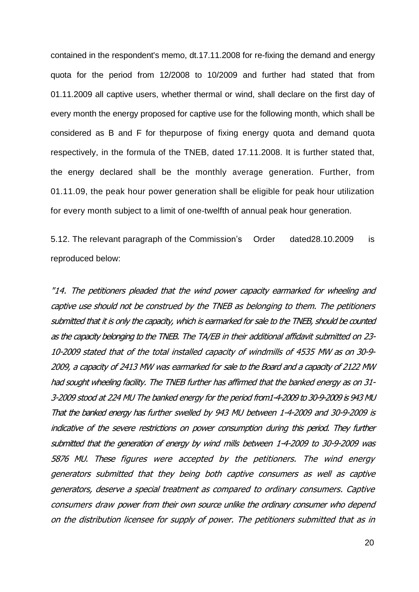contained in the respondent's memo, dt.17.11.2008 for re-fixing the demand and energy quota for the period from 12/2008 to 10/2009 and further had stated that from 01.11.2009 all captive users, whether thermal or wind, shall declare on the first day of every month the energy proposed for captive use for the following month, which shall be considered as B and F for thepurpose of fixing energy quota and demand quota respectively, in the formula of the TNEB, dated 17.11.2008. It is further stated that, the energy declared shall be the monthly average generation. Further, from 01.11.09, the peak hour power generation shall be eligible for peak hour utilization for every month subject to a limit of one-twelfth of annual peak hour generation.

5.12. The relevant paragraph of the Commission's Order dated28.10.2009 is reproduced below:

"14. The petitioners pleaded that the wind power capacity earmarked for wheeling and captive use should not be construed by the TNEB as belonging to them. The petitioners submitted that it is only the capacity, which is earmarked for sale to the TNEB, should be counted as the capacity belonging to the TNEB. The TA/EB in their additional affidavit submitted on 23- 10-2009 stated that of the total installed capacity of windmills of 4535 MW as on 30-9- 2009, a capacity of 2413 MW was earmarked for sale to the Board and a capacity of 2122 MW had sought wheeling facility. The TNEB further has affirmed that the banked energy as on 31- 3-2009 stood at 224 MU The banked energy for the period from1-4-2009 to 30-9-2009 is 943 MU That the banked energy has further swelled by 943 MU between 1-4-2009 and 30-9-2009 is indicative of the severe restrictions on power consumption during this period. They further submitted that the generation of energy by wind mills between 1-4-2009 to 30-9-2009 was 5876 MU. These figures were accepted by the petitioners. The wind energy generators submitted that they being both captive consumers as well as captive generators, deserve a special treatment as compared to ordinary consumers. Captive consumers draw power from their own source unlike the ordinary consumer who depend on the distribution licensee for supply of power. The petitioners submitted that as in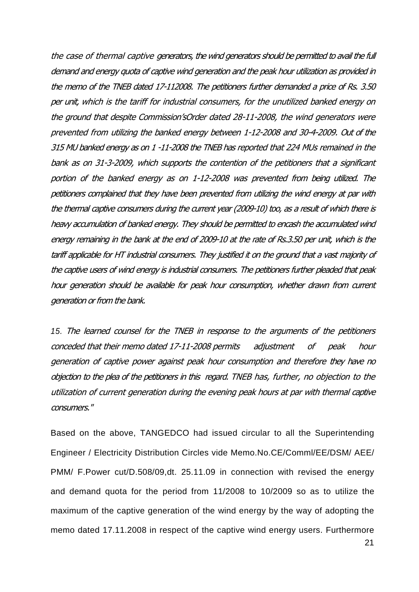the case of thermal captive generators, the wind generators should be permitted to avail the full demand and energy quota of captive wind generation and the peak hour utilization as provided in the memo of the TNEB dated 17-112008. The petitioners further demanded a price of Rs. 3.50 per unit, which is the tariff for industrial consumers, for the unutilized banked energy on the ground that despite Commission'sOrder dated 28-11-2008, the wind generators were prevented from utilizing the banked energy between 1-12-2008 and 30-4-2009. Out of the 315 MU banked energy as on 1 -11-2008 the TNEB has reported that 224 MUs remained in the bank as on 31-3-2009, which supports the contention of the petitioners that a significant portion of the banked energy as on 1-12-2008 was prevented from being utilized. The petitioners complained that they have been prevented from utilizing the wind energy at par with the thermal captive consumers during the current year (2009-10) too, as a result of which there is heavy accumulation of banked energy. They should be permitted to encash the accumulated wind energy remaining in the bank at the end of 2009-10 at the rate of Rs.3.50 per unit, which is the tariff applicable for HT industrial consumers. They justified it on the ground that a vast majority of the captive users of wind energy is industrial consumers. The petitioners further pleaded that peak hour generation should be available for peak hour consumption, whether drawn from current generation or from the bank.

*15.* The learned counsel for the TNEB in response to the arguments of the petitioners conceded that their memo dated 17-11-2008 permits adjustment of peak hour generation of captive power against peak hour consumption and therefore they have no objection to the plea of the petitioners in this regard. TNEB has, further, no objection to the utilization of current generation during the evening peak hours at par with thermal captive consumers."

Based on the above, TANGEDCO had issued circular to all the Superintending Engineer / Electricity Distribution Circles vide Memo.No.CE/Comml/EE/DSM/ AEE/ PMM/ F.Power cut/D.508/09,dt. 25.11.09 in connection with revised the energy and demand quota for the period from 11/2008 to 10/2009 so as to utilize the maximum of the captive generation of the wind energy by the way of adopting the memo dated 17.11.2008 in respect of the captive wind energy users. Furthermore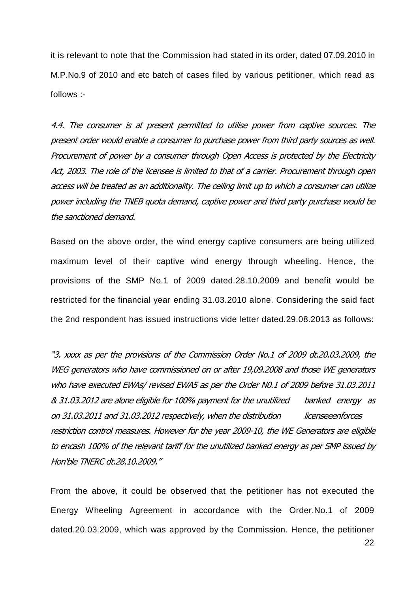it is relevant to note that the Commission had stated in its order, dated 07.09.2010 in M.P.No.9 of 2010 and etc batch of cases filed by various petitioner, which read as follows :-

4.4. The consumer is at present permitted to utilise power from captive sources. The present order would enable a consumer to purchase power from third party sources as well. Procurement of power by a consumer through Open Access is protected by the Electricity Act, 2003. The role of the licensee is limited to that of a carrier. Procurement through open access will be treated as an additionality. The ceiling limit up to which a consumer can utilize power including the TNEB quota demand, captive power and third party purchase would be the sanctioned demand.

Based on the above order, the wind energy captive consumers are being utilized maximum level of their captive wind energy through wheeling. Hence, the provisions of the SMP No.1 of 2009 dated.28.10.2009 and benefit would be restricted for the financial year ending 31.03.2010 alone. Considering the said fact the 2nd respondent has issued instructions vide letter dated.29.08.2013 as follows:

"3. xxxx as per the provisions of the Commission Order No.1 of 2009 dt.20.03.2009, the WEG generators who have commissioned on or after 19,09.2008 and those WE generators who have executed EWAs/ revised EWA5 as per the Order N0.1 of 2009 before 31.03.2011 & 31.03.2012 are alone eligible for 100% payment for the unutilized banked energy as on 31.03.2011 and 31.03.2012 respectively, when the distribution licenseeenforces restriction control measures. However for the year 2009-10, the WE Generators are eligible to encash 100% of the relevant tariff for the unutilized banked energy as per SMP issued by Hon'ble TNERC dt.28.10.2009."

From the above, it could be observed that the petitioner has not executed the Energy Wheeling Agreement in accordance with the Order.No.1 of 2009 dated.20.03.2009, which was approved by the Commission. Hence, the petitioner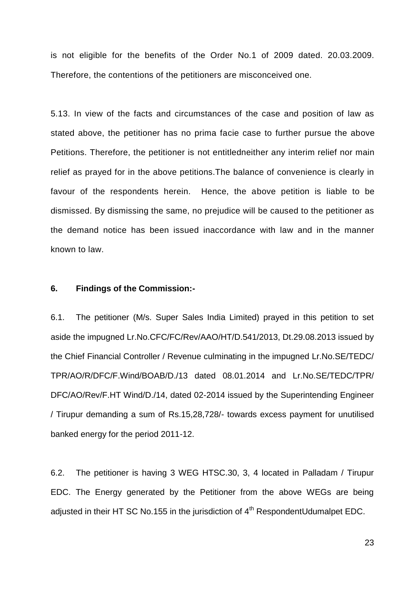is not eligible for the benefits of the Order No.1 of 2009 dated. 20.03.2009. Therefore, the contentions of the petitioners are misconceived one.

5.13. In view of the facts and circumstances of the case and position of law as stated above, the petitioner has no prima facie case to further pursue the above Petitions. Therefore, the petitioner is not entitledneither any interim relief nor main relief as prayed for in the above petitions.The balance of convenience is clearly in favour of the respondents herein. Hence, the above petition is liable to be dismissed. By dismissing the same, no prejudice will be caused to the petitioner as the demand notice has been issued inaccordance with law and in the manner known to law.

### **6. Findings of the Commission:-**

6.1. The petitioner (M/s. Super Sales India Limited) prayed in this petition to set aside the impugned Lr.No.CFC/FC/Rev/AAO/HT/D.541/2013, Dt.29.08.2013 issued by the Chief Financial Controller / Revenue culminating in the impugned Lr.No.SE/TEDC/ TPR/AO/R/DFC/F.Wind/BOAB/D./13 dated 08.01.2014 and Lr.No.SE/TEDC/TPR/ DFC/AO/Rev/F.HT Wind/D./14, dated 02-2014 issued by the Superintending Engineer / Tirupur demanding a sum of Rs.15,28,728/- towards excess payment for unutilised banked energy for the period 2011-12.

6.2. The petitioner is having 3 WEG HTSC.30, 3, 4 located in Palladam / Tirupur EDC. The Energy generated by the Petitioner from the above WEGs are being adjusted in their HT SC No.155 in the jurisdiction of  $4<sup>th</sup>$  RespondentUdumalpet EDC.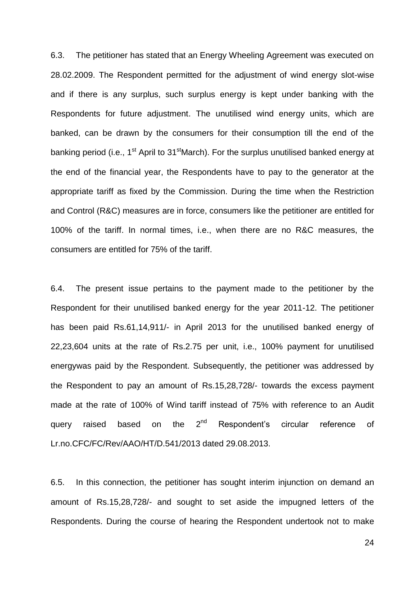6.3. The petitioner has stated that an Energy Wheeling Agreement was executed on 28.02.2009. The Respondent permitted for the adjustment of wind energy slot-wise and if there is any surplus, such surplus energy is kept under banking with the Respondents for future adjustment. The unutilised wind energy units, which are banked, can be drawn by the consumers for their consumption till the end of the banking period (i.e.,  $1<sup>st</sup>$  April to  $31<sup>st</sup>$  March). For the surplus unutilised banked energy at the end of the financial year, the Respondents have to pay to the generator at the appropriate tariff as fixed by the Commission. During the time when the Restriction and Control (R&C) measures are in force, consumers like the petitioner are entitled for 100% of the tariff. In normal times, i.e., when there are no R&C measures, the consumers are entitled for 75% of the tariff.

6.4. The present issue pertains to the payment made to the petitioner by the Respondent for their unutilised banked energy for the year 2011-12. The petitioner has been paid Rs.61,14,911/- in April 2013 for the unutilised banked energy of 22,23,604 units at the rate of Rs.2.75 per unit, i.e., 100% payment for unutilised energywas paid by the Respondent. Subsequently, the petitioner was addressed by the Respondent to pay an amount of Rs.15,28,728/- towards the excess payment made at the rate of 100% of Wind tariff instead of 75% with reference to an Audit query raised based on the  $2^{nd}$  Respondent's circular reference of Lr.no.CFC/FC/Rev/AAO/HT/D.541/2013 dated 29.08.2013.

6.5. In this connection, the petitioner has sought interim injunction on demand an amount of Rs.15,28,728/- and sought to set aside the impugned letters of the Respondents. During the course of hearing the Respondent undertook not to make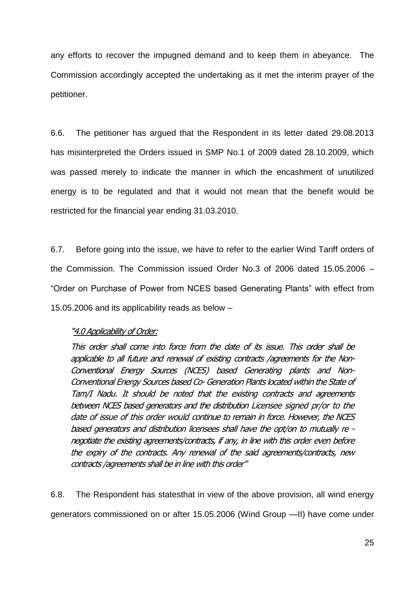any efforts to recover the impugned demand and to keep them in abeyance. The Commission accordingly accepted the undertaking as it met the interim prayer of the petitioner.

6.6. The petitioner has argued that the Respondent in its letter dated 29.08.2013 has misinterpreted the Orders issued in SMP No.1 of 2009 dated 28.10.2009, which was passed merely to indicate the manner in which the encashment of unutilized energy is to be regulated and that it would not mean that the benefit would be restricted for the financial year ending 31.03.2010.

6.7. Before going into the issue, we have to refer to the earlier Wind Tariff orders of the Commission. The Commission issued Order No.3 of 2006 dated 15.05.2006 – "Order on Purchase of Power from NCES based Generating Plants" with effect from 15.05.2006 and its applicability reads as below –

# "4.0 Applicability of Order:

This order shall come into force from the date of its issue. This order shall be applicable to all future and renewal of existing contracts /agreements for the Non-Conventional Energy Sources (NCES) based Generating plants and Non-Conventional Energy Sources based Co- Generation Plants located within the State of Tam/I Nadu. It should be noted that the existing contracts and agreements between NCES based generators and the distribution Licensee signed pr/or to the date of issue of this order would continue to remain in force. However, the NCES based generators and distribution licensees shall have the opt/on to mutually re negotiate the existing agreements/contracts, if any, in line with this order even before the expiry of the contracts. Any renewal of the said agreements/contracts, new contracts /agreements shall be in line with this order"

6.8. The Respondent has statesthat in view of the above provision, all wind energy generators commissioned on or after 15.05.2006 (Wind Group —II) have come under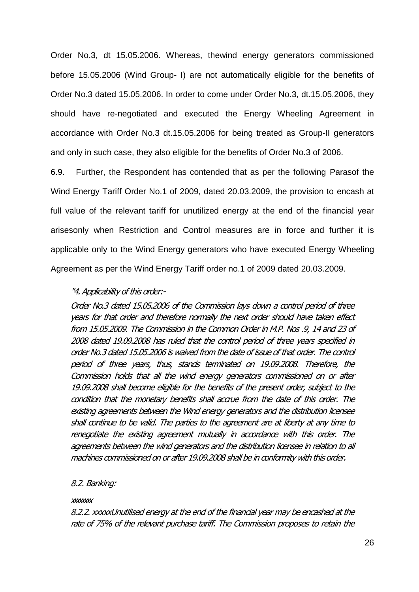Order No.3, dt 15.05.2006. Whereas, thewind energy generators commissioned before 15.05.2006 (Wind Group- I) are not automatically eligible for the benefits of Order No.3 dated 15.05.2006. In order to come under Order No.3, dt.15.05.2006, they should have re-negotiated and executed the Energy Wheeling Agreement in accordance with Order No.3 dt.15.05.2006 for being treated as Group-II generators and only in such case, they also eligible for the benefits of Order No.3 of 2006.

6.9. Further, the Respondent has contended that as per the following Parasof the Wind Energy Tariff Order No.1 of 2009, dated 20.03.2009, the provision to encash at full value of the relevant tariff for unutilized energy at the end of the financial year arisesonly when Restriction and Control measures are in force and further it is applicable only to the Wind Energy generators who have executed Energy Wheeling Agreement as per the Wind Energy Tariff order no.1 of 2009 dated 20.03.2009.

### "4. Applicability of this order:-

Order No.3 dated 15.05.2006 of the Commission lays down a control period of three years for that order and therefore normally the next order should have taken effect from 15.05.2009. The Commission in the Common Order in M.P. Nos .9, 14 and 23 of 2008 dated 19.09.2008 has ruled that the control period of three years specified in order No.3 dated 15.05.2006 is waived from the date of issue of that order. The control period of three years, thus, stands terminated on 19.09.2008. Therefore, the Commission holds that all the wind energy generators commissioned on or after 19.09.2008 shall become eligible for the benefits of the present order, subject to the condition that the monetary benefits shall accrue from the date of this order. The existing agreements between the Wind energy generators and the distribution licensee shall continue to be valid. The parties to the agreement are at liberty at any time to renegotiate the existing agreement mutually in accordance with this order. The agreements between the wind generators and the distribution licensee in relation to all machines commissioned on or after 19.09.2008 shall be in conformity with this order.

### 8.2. Banking:

### xxxxxxxx

8.2.2. xxxxxUnutilised energy at the end of the financial year may be encashed at the rate of 75% of the relevant purchase tariff. The Commission proposes to retain the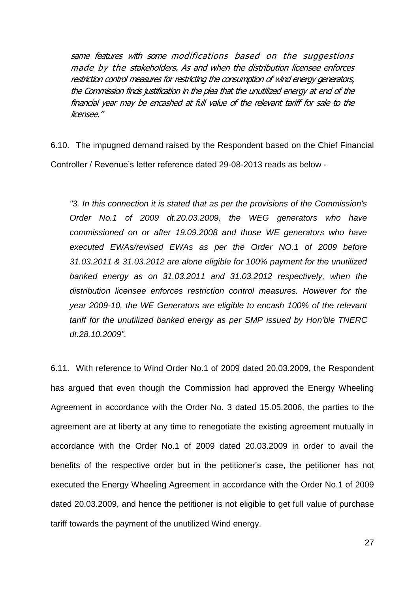same features with some modifications based on the suggestions made by the stakeholders. As and when the distribution licensee enforces restriction control measures for restricting the consumption of wind energy generators, the Commission finds justification in the plea that the unutilized energy at end of the financial year may be encashed at full value of the relevant tariff for sale to the licensee."

6.10. The impugned demand raised by the Respondent based on the Chief Financial Controller / Revenue's letter reference dated 29-08-2013 reads as below -

*"3. In this connection it is stated that as per the provisions of the Commission's Order No.1 of 2009 dt.20.03.2009, the WEG generators who have commissioned on or after 19.09.2008 and those WE generators who have executed EWAs/revised EWAs as per the Order NO.1 of 2009 before 31.03.2011 & 31.03.2012 are alone eligible for 100% payment for the unutilized banked energy as on 31.03.2011 and 31.03.2012 respectively, when the distribution licensee enforces restriction control measures. However for the year 2009-10, the WE Generators are eligible to encash 100% of the relevant tariff for the unutilized banked energy as per SMP issued by Hon'ble TNERC dt.28.10.2009".*

6.11. With reference to Wind Order No.1 of 2009 dated 20.03.2009, the Respondent has argued that even though the Commission had approved the Energy Wheeling Agreement in accordance with the Order No. 3 dated 15.05.2006, the parties to the agreement are at liberty at any time to renegotiate the existing agreement mutually in accordance with the Order No.1 of 2009 dated 20.03.2009 in order to avail the benefits of the respective order but in the petitioner's case, the petitioner has not executed the Energy Wheeling Agreement in accordance with the Order No.1 of 2009 dated 20.03.2009, and hence the petitioner is not eligible to get full value of purchase tariff towards the payment of the unutilized Wind energy.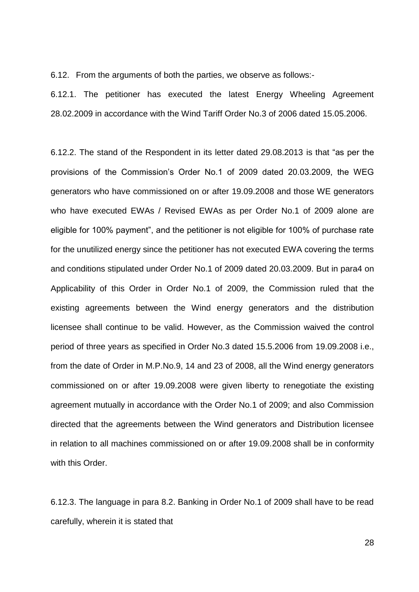6.12. From the arguments of both the parties, we observe as follows:-

6.12.1. The petitioner has executed the latest Energy Wheeling Agreement 28.02.2009 in accordance with the Wind Tariff Order No.3 of 2006 dated 15.05.2006.

6.12.2. The stand of the Respondent in its letter dated 29.08.2013 is that "as per the provisions of the Commission's Order No.1 of 2009 dated 20.03.2009, the WEG generators who have commissioned on or after 19.09.2008 and those WE generators who have executed EWAs / Revised EWAs as per Order No.1 of 2009 alone are eligible for 100% payment", and the petitioner is not eligible for 100% of purchase rate for the unutilized energy since the petitioner has not executed EWA covering the terms and conditions stipulated under Order No.1 of 2009 dated 20.03.2009. But in para4 on Applicability of this Order in Order No.1 of 2009, the Commission ruled that the existing agreements between the Wind energy generators and the distribution licensee shall continue to be valid. However, as the Commission waived the control period of three years as specified in Order No.3 dated 15.5.2006 from 19.09.2008 i.e., from the date of Order in M.P.No.9, 14 and 23 of 2008, all the Wind energy generators commissioned on or after 19.09.2008 were given liberty to renegotiate the existing agreement mutually in accordance with the Order No.1 of 2009; and also Commission directed that the agreements between the Wind generators and Distribution licensee in relation to all machines commissioned on or after 19.09.2008 shall be in conformity with this Order.

6.12.3. The language in para 8.2. Banking in Order No.1 of 2009 shall have to be read carefully, wherein it is stated that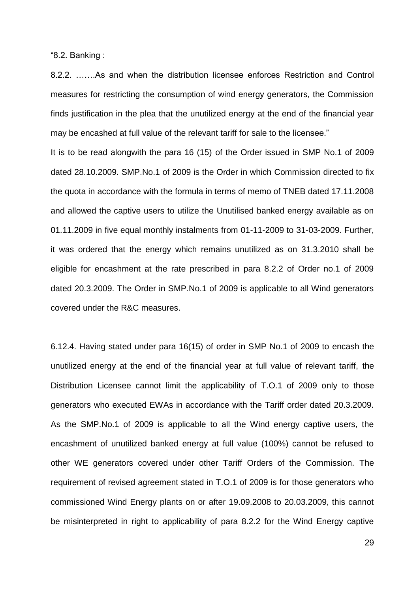$"8.2.$  Banking :

8.2.2. …….As and when the distribution licensee enforces Restriction and Control measures for restricting the consumption of wind energy generators, the Commission finds justification in the plea that the unutilized energy at the end of the financial year may be encashed at full value of the relevant tariff for sale to the licensee."

It is to be read alongwith the para 16 (15) of the Order issued in SMP No.1 of 2009 dated 28.10.2009. SMP.No.1 of 2009 is the Order in which Commission directed to fix the quota in accordance with the formula in terms of memo of TNEB dated 17.11.2008 and allowed the captive users to utilize the Unutilised banked energy available as on 01.11.2009 in five equal monthly instalments from 01-11-2009 to 31-03-2009. Further, it was ordered that the energy which remains unutilized as on 31.3.2010 shall be eligible for encashment at the rate prescribed in para 8.2.2 of Order no.1 of 2009 dated 20.3.2009. The Order in SMP.No.1 of 2009 is applicable to all Wind generators covered under the R&C measures.

6.12.4. Having stated under para 16(15) of order in SMP No.1 of 2009 to encash the unutilized energy at the end of the financial year at full value of relevant tariff, the Distribution Licensee cannot limit the applicability of T.O.1 of 2009 only to those generators who executed EWAs in accordance with the Tariff order dated 20.3.2009. As the SMP.No.1 of 2009 is applicable to all the Wind energy captive users, the encashment of unutilized banked energy at full value (100%) cannot be refused to other WE generators covered under other Tariff Orders of the Commission. The requirement of revised agreement stated in T.O.1 of 2009 is for those generators who commissioned Wind Energy plants on or after 19.09.2008 to 20.03.2009, this cannot be misinterpreted in right to applicability of para 8.2.2 for the Wind Energy captive